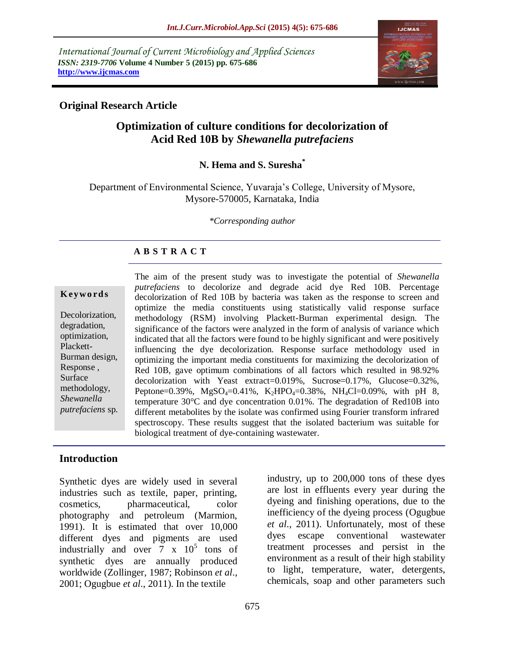*International Journal of Current Microbiology and Applied Sciences ISSN: 2319-7706* **Volume 4 Number 5 (2015) pp. 675-686 http://www.ijcmas.com** 



# **Original Research Article**

# **Optimization of culture conditions for decolorization of Acid Red 10B by** *Shewanella putrefaciens*

# **N. Hema and S. Suresha\***

Department of Environmental Science, Yuvaraja's College, University of Mysore, Mysore-570005, Karnataka, India

*\*Corresponding author*

# **A B S T R A C T**

#### **K ey w o rd s**

Decolorization, degradation, optimization, Plackett-Burman design, Response , Surface methodology, *Shewanella putrefaciens* sp.

The aim of the present study was to investigate the potential of *Shewanella putrefaciens* to decolorize and degrade acid dye Red 10B. Percentage decolorization of Red 10B by bacteria was taken as the response to screen and optimize the media constituents using statistically valid response surface methodology (RSM) involving Plackett-Burman experimental design. The significance of the factors were analyzed in the form of analysis of variance which indicated that all the factors were found to be highly significant and were positively influencing the dye decolorization. Response surface methodology used in optimizing the important media constituents for maximizing the decolorization of Red 10B, gave optimum combinations of all factors which resulted in 98.92% decolorization with Yeast extract=0.019%, Sucrose=0.17%, Glucose=0.32%, Peptone=0.39%, MgSO<sub>4</sub>=0.41%, K<sub>2</sub>HPO<sub>4</sub>=0.38%, NH<sub>4</sub>Cl=0.09%, with pH 8, temperature 30°C and dye concentration 0.01%. The degradation of Red10B into different metabolites by the isolate was confirmed using Fourier transform infrared spectroscopy. These results suggest that the isolated bacterium was suitable for biological treatment of dye-containing wastewater.

### **Introduction**

Synthetic dyes are widely used in several industries such as textile, paper, printing, cosmetics, pharmaceutical, color photography and petroleum (Marmion, 1991). It is estimated that over 10,000 different dyes and pigments are used industrially and over  $7 \times 10^5$  tons of synthetic dyes are annually produced worldwide (Zollinger, 1987; Robinson *et al*., 2001; Ogugbue *et al*., 2011). In the textile

industry, up to 200,000 tons of these dyes are lost in effluents every year during the dyeing and finishing operations, due to the inefficiency of the dyeing process (Ogugbue *et al*., 2011). Unfortunately, most of these dyes escape conventional wastewater treatment processes and persist in the environment as a result of their high stability to light, temperature, water, detergents, chemicals, soap and other parameters such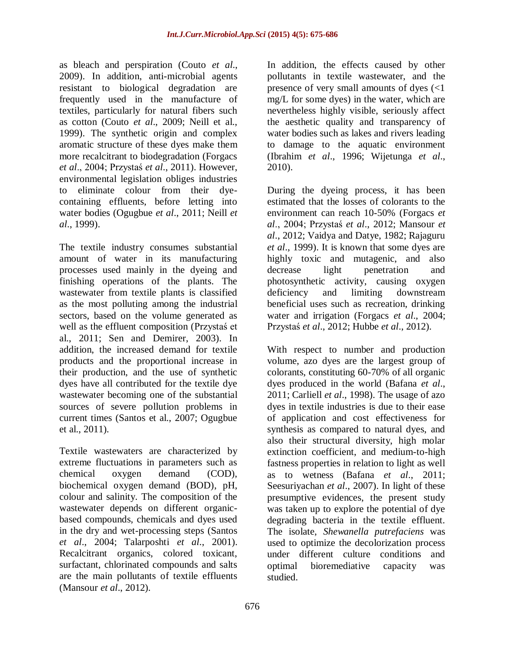as bleach and perspiration (Couto *et al*., 2009). In addition, anti-microbial agents resistant to biological degradation are frequently used in the manufacture of textiles, particularly for natural fibers such as cotton (Couto *et al*., 2009; Neill et al., 1999). The synthetic origin and complex aromatic structure of these dyes make them more recalcitrant to biodegradation (Forgacs *et al*., 2004; Przystaś *et al*., 2011). However, environmental legislation obliges industries to eliminate colour from their dyecontaining effluents, before letting into water bodies (Ogugbue *et al*., 2011; Neill *et al*., 1999).

The textile industry consumes substantial amount of water in its manufacturing processes used mainly in the dyeing and finishing operations of the plants. The wastewater from textile plants is classified as the most polluting among the industrial sectors, based on the volume generated as well as the effluent composition (Przystaś et al., 2011; Sen and Demirer, 2003). In addition, the increased demand for textile products and the proportional increase in their production, and the use of synthetic dyes have all contributed for the textile dye wastewater becoming one of the substantial sources of severe pollution problems in current times (Santos et al., 2007; Ogugbue et al., 2011).

Textile wastewaters are characterized by extreme fluctuations in parameters such as chemical oxygen demand (COD), biochemical oxygen demand (BOD), pH, colour and salinity. The composition of the wastewater depends on different organicbased compounds, chemicals and dyes used in the dry and wet-processing steps (Santos *et al*., 2004; Talarposhti *et al*., 2001). Recalcitrant organics, colored toxicant, surfactant, chlorinated compounds and salts are the main pollutants of textile effluents (Mansour *et al*., 2012).

In addition, the effects caused by other pollutants in textile wastewater, and the presence of very small amounts of dyes (<1 mg/L for some dyes) in the water, which are nevertheless highly visible, seriously affect the aesthetic quality and transparency of water bodies such as lakes and rivers leading to damage to the aquatic environment (Ibrahim *et al*., 1996; Wijetunga *et al*., 2010).

During the dyeing process, it has been estimated that the losses of colorants to the environment can reach 10-50% (Forgacs *et al*., 2004; Przystaś *et al*., 2012; Mansour *et al*., 2012; Vaidya and Datye, 1982; Rajaguru *et al*., 1999). It is known that some dyes are highly toxic and mutagenic, and also decrease light penetration and photosynthetic activity, causing oxygen deficiency and limiting downstream beneficial uses such as recreation, drinking water and irrigation (Forgacs *et al*., 2004; Przystaś *et al*., 2012; Hubbe *et al*., 2012).

With respect to number and production volume, azo dyes are the largest group of colorants, constituting 60-70% of all organic dyes produced in the world (Bafana *et al*., 2011; Carliell *et al*., 1998). The usage of azo dyes in textile industries is due to their ease of application and cost effectiveness for synthesis as compared to natural dyes, and also their structural diversity, high molar extinction coefficient, and medium-to-high fastness properties in relation to light as well as to wetness (Bafana *et al*., 2011; Seesuriyachan *et al*., 2007). In light of these presumptive evidences, the present study was taken up to explore the potential of dye degrading bacteria in the textile effluent. The isolate, *Shewanella putrefaciens* was used to optimize the decolorization process under different culture conditions and optimal bioremediative capacity was studied.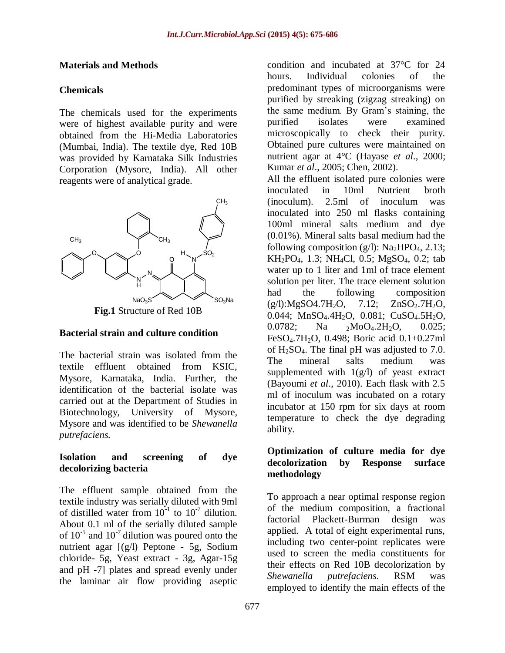## **Materials and Methods**

# **Chemicals**

The chemicals used for the experiments were of highest available purity and were obtained from the Hi-Media Laboratories (Mumbai, India). The textile dye, Red 10B was provided by Karnataka Silk Industries Corporation (Mysore, India). All other reagents were of analytical grade.



# **Bacterial strain and culture condition**

The bacterial strain was isolated from the textile effluent obtained from KSIC, Mysore, Karnataka, India. Further, the identification of the bacterial isolate was carried out at the Department of Studies in Biotechnology, University of Mysore, Mysore and was identified to be *Shewanella putrefaciens.*

### **Isolation and screening of dye decolorizing bacteria**

The effluent sample obtained from the textile industry was serially diluted with 9ml of distilled water from  $10^{-1}$  to  $10^{-7}$  dilution. About 0.1 ml of the serially diluted sample of  $10^{-5}$  and  $10^{-7}$  dilution was poured onto the nutrient agar [(g/l) Peptone - 5g, Sodium chloride- 5g, Yeast extract - 3g, Agar-15g and pH -7] plates and spread evenly under the laminar air flow providing aseptic

condition and incubated at 37°C for 24 hours. Individual colonies of the predominant types of microorganisms were purified by streaking (zigzag streaking) on the same medium. By Gram's staining, the purified isolates were examined microscopically to check their purity. Obtained pure cultures were maintained on nutrient agar at 4°C (Hayase *et al*., 2000; Kumar *et al*., 2005; Chen, 2002).

All the effluent isolated pure colonies were inoculated in 10ml Nutrient broth (inoculum). 2.5ml of inoculum was inoculated into 250 ml flasks containing 100ml mineral salts medium and dye (0.01%). Mineral salts basal medium had the following composition  $(g/l)$ : Na<sub>2</sub>HPO<sub>4</sub>, 2.13; KH2PO4, 1.3; NH4Cl, 0.5; MgSO4, 0.2; tab water up to 1 liter and 1ml of trace element solution per liter. The trace element solution had the following composition  $(g/l):MgSO4.7H_2O, 7.12; ZnSO_2.7H_2O,$  $0.044$ ; MnSO<sub>4</sub>.4H<sub>2</sub>O, 0.081; CuSO<sub>4</sub>.5H<sub>2</sub>O, 0.0782; Na  ${}_{2}MoO_{4}.2H_{2}O$ , 0.025; FeSO<sub>4</sub>.7H<sub>2</sub>O, 0.498; Boric acid  $0.1+0.27$ ml of  $H_2SO_4$ . The final pH was adjusted to 7.0. The mineral salts medium was supplemented with  $1(g/l)$  of yeast extract (Bayoumi *et al*., 2010). Each flask with 2.5 ml of inoculum was incubated on a rotary incubator at 150 rpm for six days at room temperature to check the dye degrading ability.

## **Optimization of culture media for dye decolorization by Response surface methodology**

To approach a near optimal response region of the medium composition, a fractional factorial Plackett-Burman design was applied. A total of eight experimental runs, including two center-point replicates were used to screen the media constituents for their effects on Red 10B decolorization by *Shewanella putrefaciens*. RSM was employed to identify the main effects of the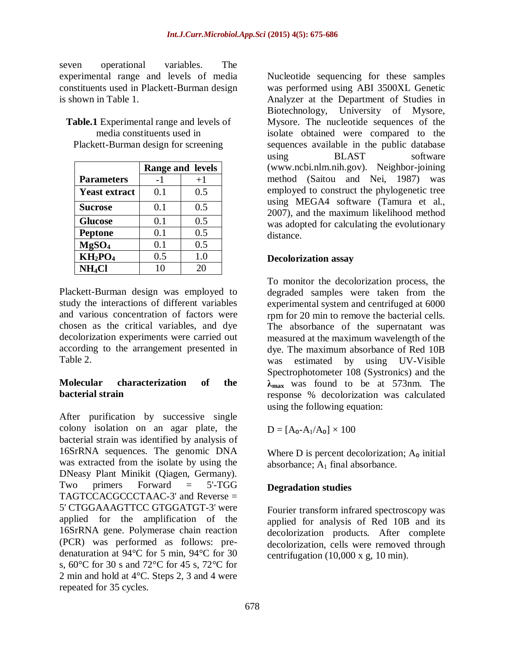seven operational variables. The experimental range and levels of media constituents used in Plackett-Burman design is shown in Table 1.

| <b>Table.1</b> Experimental range and levels of |
|-------------------------------------------------|
| media constituents used in                      |
| Plackett-Burman design for screening            |

|                      | <b>Range and levels</b> |      |  |  |  |
|----------------------|-------------------------|------|--|--|--|
| <b>Parameters</b>    | -1                      | $+1$ |  |  |  |
| <b>Yeast extract</b> | 0.1                     | 0.5  |  |  |  |
| <b>Sucrose</b>       | 0.1                     | 0.5  |  |  |  |
| <b>Glucose</b>       | 0.1                     | 0.5  |  |  |  |
| <b>Peptone</b>       | 0.1                     | 0.5  |  |  |  |
| MgSO <sub>4</sub>    | 0.1                     | 0.5  |  |  |  |
| $KH_2PO_4$           | 0.5                     | 1.0  |  |  |  |
| NH <sub>4</sub> Cl   | 10                      | 20   |  |  |  |

Plackett-Burman design was employed to study the interactions of different variables and various concentration of factors were chosen as the critical variables, and dye decolorization experiments were carried out according to the arrangement presented in Table 2.

# **Molecular characterization of the bacterial strain**

After purification by successive single colony isolation on an agar plate, the bacterial strain was identified by analysis of 16SrRNA sequences. The genomic DNA was extracted from the isolate by using the DNeasy Plant Minikit (Qiagen, Germany). Two primers Forward = 5'-TGG TAGTCCACGCCCTAAC-3' and Reverse = 5' CTGGAAAGTTCC GTGGATGT-3' were applied for the amplification of the 16SrRNA gene. Polymerase chain reaction (PCR) was performed as follows: predenaturation at 94°C for 5 min, 94°C for 30 s, 60°C for 30 s and 72°C for 45 s, 72°C for 2 min and hold at 4°C. Steps 2, 3 and 4 were repeated for 35 cycles.

Nucleotide sequencing for these samples was performed using ABI 3500XL Genetic Analyzer at the Department of Studies in Biotechnology, University of Mysore, Mysore. The nucleotide sequences of the isolate obtained were compared to the sequences available in the public database using BLAST software [\(www.ncbi.nlm.nih.gov\)](http://www.ncbi.nlm.nih.gov/). Neighbor-joining method (Saitou and Nei, 1987) was employed to construct the phylogenetic tree using MEGA4 software (Tamura et al., 2007), and the maximum likelihood method was adopted for calculating the evolutionary distance.

# **Decolorization assay**

To monitor the decolorization process, the degraded samples were taken from the experimental system and centrifuged at 6000 rpm for 20 min to remove the bacterial cells. The absorbance of the supernatant was measured at the maximum wavelength of the dye. The maximum absorbance of Red 10B was estimated by using UV-Visible Spectrophotometer 108 (Systronics) and the **λmax** was found to be at 573nm. The response % decolorization was calculated using the following equation:

 $D = [A_0 - A_1/A_0] \times 100$ 

Where  $D$  is percent decolorization;  $A<sub>o</sub>$  initial absorbance;  $A_1$  final absorbance.

# **Degradation studies**

Fourier transform infrared spectroscopy was applied for analysis of Red 10B and its decolorization products. After complete decolorization, cells were removed through centrifugation  $(10,000 \times g, 10 \text{ min})$ .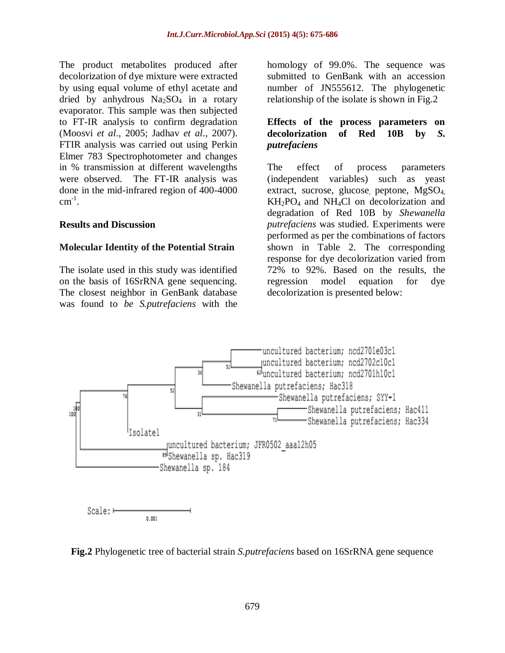The product metabolites produced after decolorization of dye mixture were extracted by using equal volume of ethyl acetate and dried by anhydrous  $Na<sub>2</sub>SO<sub>4</sub>$  in a rotary evaporator. This sample was then subjected to FT-IR analysis to confirm degradation (Moosvi *et al*., 2005; Jadhav *et al*., 2007). FTIR analysis was carried out using Perkin Elmer 783 Spectrophotometer and changes in % transmission at different wavelengths were observed. The FT-IR analysis was done in the mid-infrared region of 400-4000  $cm^{-1}$ .

### **Results and Discussion**

### **Molecular Identity of the Potential Strain**

The isolate used in this study was identified on the basis of 16SrRNA gene sequencing. The closest neighbor in GenBank database was found to *be S.putrefaciens* with the homology of 99.0%. The sequence was submitted to GenBank with an accession number of JN555612. The phylogenetic relationship of the isolate is shown in Fig.2

## **Effects of the process parameters on decolorization of Red 10B by** *S. putrefaciens*

The effect of process parameters (independent variables) such as yeast extract, sucrose, glucose, peptone, MgSO4,  $KH<sub>2</sub>PO<sub>4</sub>$  and  $NH<sub>4</sub>Cl$  on decolorization and degradation of Red 10B by *Shewanella putrefaciens* was studied. Experiments were performed as per the combinations of factors shown in Table 2. The corresponding response for dye decolorization varied from 72% to 92%. Based on the results, the regression model equation for dye decolorization is presented below:



**Fig.2** Phylogenetic tree of bacterial strain *S.putrefaciens* based on 16SrRNA gene sequence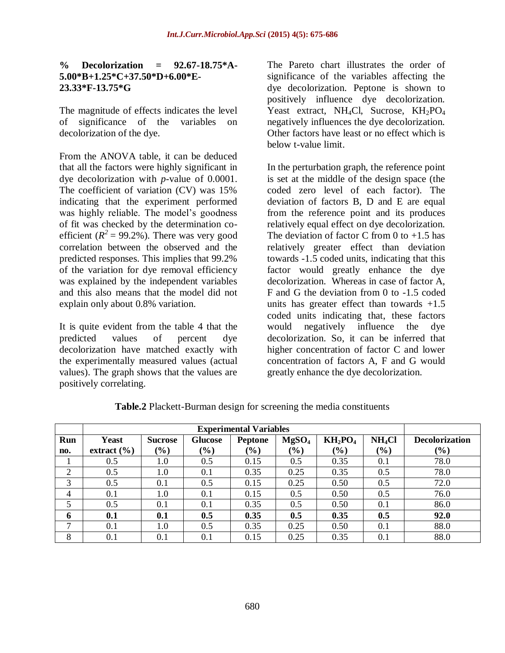### **% Decolorization = 92.67-18.75\*A-5.00\*B+1.25\*C+37.50\*D+6.00\*E-23.33\*F-13.75\*G**

The magnitude of effects indicates the level of significance of the variables on decolorization of the dye.

From the ANOVA table, it can be deduced that all the factors were highly significant in dye decolorization with *p*-value of 0.0001. The coefficient of variation (CV) was 15% indicating that the experiment performed was highly reliable. The model's goodness of fit was checked by the determination coefficient  $(R^2 = 99.2\%)$ . There was very good correlation between the observed and the predicted responses. This implies that 99.2% of the variation for dye removal efficiency was explained by the independent variables and this also means that the model did not explain only about 0.8% variation.

It is quite evident from the table 4 that the predicted values of percent dye decolorization have matched exactly with the experimentally measured values (actual values). The graph shows that the values are positively correlating.

The Pareto chart illustrates the order of significance of the variables affecting the dye decolorization. Peptone is shown to positively influence dye decolorization. Yeast extract, NH<sub>4</sub>Cl, Sucrose,  $KH_2PO_4$ negatively influences the dye decolorization. Other factors have least or no effect which is below t-value limit.

In the perturbation graph, the reference point is set at the middle of the design space (the coded zero level of each factor). The deviation of factors B, D and E are equal from the reference point and its produces relatively equal effect on dye decolorization. The deviation of factor C from 0 to  $+1.5$  has relatively greater effect than deviation towards -1.5 coded units, indicating that this factor would greatly enhance the dye decolorization. Whereas in case of factor A, F and G the deviation from 0 to -1.5 coded units has greater effect than towards  $+1.5$ coded units indicating that, these factors would negatively influence the dye decolorization. So, it can be inferred that higher concentration of factor C and lower concentration of factors A, F and G would greatly enhance the dye decolorization.

| Run          | <b>Yeast</b>    | <b>Sucrose</b> | <b>Glucose</b> | <b>Peptone</b>             | MgSO <sub>4</sub>            | $KH_2PO_4$ | NH <sub>4</sub> Cl | <b>Decolorization</b> |
|--------------|-----------------|----------------|----------------|----------------------------|------------------------------|------------|--------------------|-----------------------|
| no.          | extract $(\% )$ | (%)            | $(\%)$         | $\left(\frac{0}{0}\right)$ | $\left( \frac{6}{6} \right)$ | (%)        | $(\%)$             | (%)                   |
|              | 0.5             | 1.0            | 0.5            | 0.15                       | 0.5                          | 0.35       | 0.1                | 78.0                  |
| 2            | 0.5             | 1.0            | 0.1            | 0.35                       | 0.25                         | 0.35       | 0.5                | 78.0                  |
| 3            | 0.5             | 0.1            | 0.5            | 0.15                       | 0.25                         | 0.50       | 0.5                | 72.0                  |
| 4            | 0.1             | 1.0            | 0.1            | 0.15                       | 0.5                          | 0.50       | 0.5                | 76.0                  |
| 5            | 0.5             | 0.1            | 0.1            | 0.35                       | 0.5                          | 0.50       | 0.1                | 86.0                  |
| 6            | 0.1             | 0.1            | 0.5            | 0.35                       | 0.5                          | 0.35       | 0.5                | 92.0                  |
| $\mathbf{r}$ | 0.1             | 1.0            | 0.5            | 0.35                       | 0.25                         | 0.50       | 0.1                | 88.0                  |
| 8            | 0.1             | 0.1            | 0.1            | 0.15                       | 0.25                         | 0.35       | 0.1                | 88.0                  |

**Table.2** Plackett-Burman design for screening the media constituents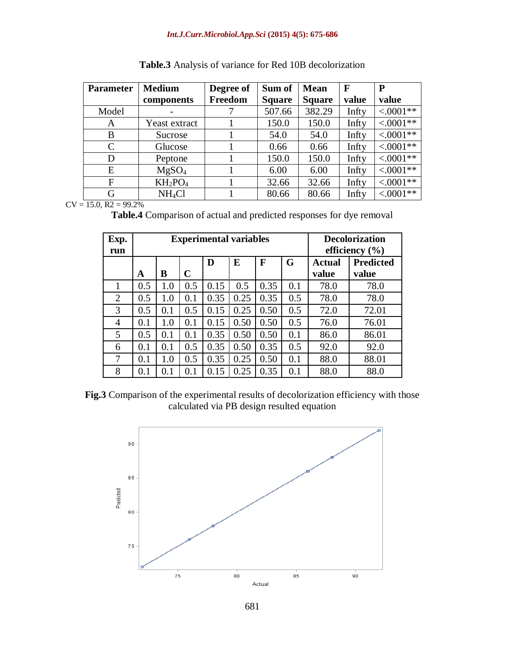| <b>Parameter</b> | <b>Medium</b>      | Degree of | Sum of        | <b>Mean</b>   | $\mathbf{F}$ | P              |
|------------------|--------------------|-----------|---------------|---------------|--------------|----------------|
|                  | components         | Freedom   | <b>Square</b> | <b>Square</b> | value        | value          |
| Model            |                    |           | 507.66        | 382.29        | Infty        | $< .0001**$    |
| A                | Yeast extract      |           | 150.0         | 150.0         | Infty        | $\leq 0.001**$ |
| В                | Sucrose            |           | 54.0          | 54.0          | Infty        | $< .0001**$    |
| $\mathcal{C}$    | Glucose            |           | 0.66          | 0.66          | Infty        | $< .0001**$    |
| D                | Peptone            |           | 150.0         | 150.0         | Infty        | $< .0001**$    |
| E                | MgSO <sub>4</sub>  |           | 6.00          | 6.00          | Infty        | $< 0.001**$    |
| F                | $KH_2PO_4$         |           | 32.66         | 32.66         | Infty        | $< 0.001**$    |
| G                | NH <sub>4</sub> Cl |           | 80.66         | 80.66         | Infty        | $< 0.001**$    |

 $CV = 15.0, R2 = 99.2\%$ 

**Table.4** Comparison of actual and predicted responses for dye removal

| Exp.<br>run    | <b>Experimental variables</b> |         |                    |      |      |      |                        | <b>Decolorization</b><br>efficiency $(\% )$ |       |  |
|----------------|-------------------------------|---------|--------------------|------|------|------|------------------------|---------------------------------------------|-------|--|
|                | B                             |         | D                  | E    | F    | G    | <b>Actual</b><br>value | <b>Predicted</b><br>value                   |       |  |
| 1              | A<br>0.5                      | 1.0     | $\mathbf C$<br>0.5 | 0.15 | 0.5  | 0.35 | 0.1                    | 78.0                                        | 78.0  |  |
|                |                               |         |                    |      |      |      |                        |                                             |       |  |
| $\overline{2}$ | 0.5                           | 1.0     | 0.1                | 0.35 | 0.25 | 0.35 | 0.5                    | 78.0                                        | 78.0  |  |
| 3              | 0.5                           | $0.1\,$ | 0.5                | 0.15 | 0.25 | 0.50 | 0.5                    | 72.0                                        | 72.01 |  |
| 4              | 0.1                           | 1.0     | 0.1                | 0.15 | 0.50 | 0.50 | 0.5                    | 76.0                                        | 76.01 |  |
| 5              | 0.5                           | 0.1     | 0.1                | 0.35 | 0.50 | 0.50 | 0.1                    | 86.0                                        | 86.01 |  |
| 6              | 0.1                           | 0.1     | 0.5                | 0.35 | 0.50 | 0.35 | 0.5                    | 92.0                                        | 92.0  |  |
| 7              | 0.1                           | 1.0     | 0.5                | 0.35 | 0.25 | 0.50 | 0.1                    | 88.0                                        | 88.01 |  |
| 8              | 0.1                           |         | 0.1                | 0.15 | 0.25 | 0.35 | 0.1                    | 88.0                                        | 88.0  |  |

**Fig.3** Comparison of the experimental results of decolorization efficiency with those calculated via PB design resulted equation



681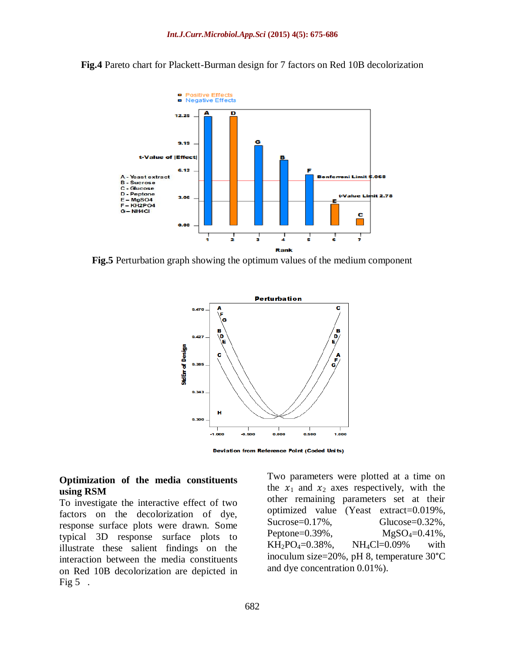

**Fig.4** Pareto chart for Plackett-Burman design for 7 factors on Red 10B decolorization

**Fig.5** Perturbation graph showing the optimum values of the medium component



**Deviation from Reference Point (Coded Units)** 

#### **Optimization of the media constituents using RSM**

To investigate the interactive effect of two factors on the decolorization of dye, response surface plots were drawn. Some typical 3D response surface plots to illustrate these salient findings on the interaction between the media constituents on Red 10B decolorization are depicted in Fig  $5$ .

Two parameters were plotted at a time on the  $x_1$  and  $x_2$  axes respectively, with the other remaining parameters set at their optimized value (Yeast extract=0.019%, Sucrose=0.17%, Glucose=0.32%, Peptone= $0.39\%$ , MgSO<sub>4</sub>= $0.41\%$ ,  $KH_2PO_4=0.38\%$ ,  $NH_4Cl=0.09\%$  with inoculum size=20%, pH 8, temperature 30°C and dye concentration 0.01%).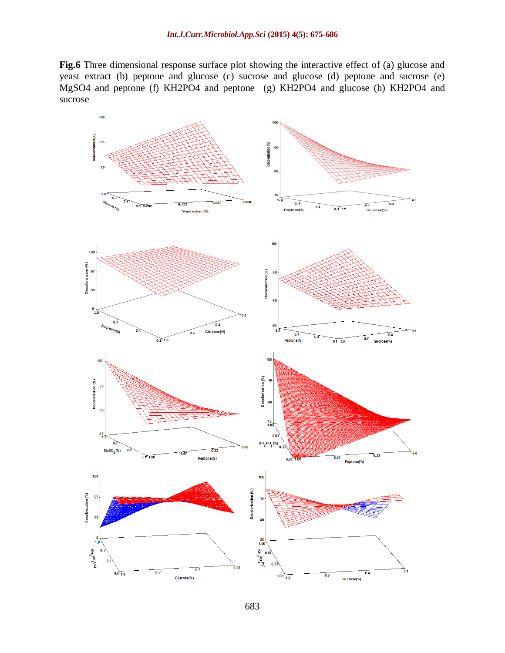**Fig.6** Three dimensional response surface plot showing the interactive effect of (a) glucose and yeast extract (b) peptone and glucose (c) sucrose and glucose (d) peptone and sucrose (e) MgSO4 and peptone (f) KH2PO4 and peptone (g) KH2PO4 and glucose (h) KH2PO4 and sucrose

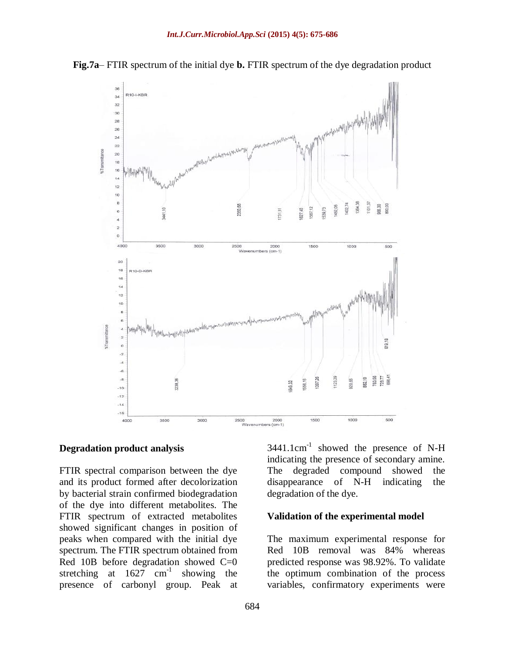

**Fig.7a**– FTIR spectrum of the initial dye **b.** FTIR spectrum of the dye degradation product

#### **Degradation product analysis**

FTIR spectral comparison between the dye and its product formed after decolorization by bacterial strain confirmed biodegradation of the dye into different metabolites. The FTIR spectrum of extracted metabolites showed significant changes in position of peaks when compared with the initial dye spectrum. The FTIR spectrum obtained from Red 10B before degradation showed  $C=0$ stretching at  $1627 \text{ cm}^{-1}$  showing the presence of carbonyl group. Peak at

 $3441.1 \text{cm}^{-1}$  showed the presence of N-H indicating the presence of secondary amine. The degraded compound showed the disappearance of N-H indicating the degradation of the dye.

#### **Validation of the experimental model**

The maximum experimental response for Red 10B removal was 84% whereas predicted response was 98.92%. To validate the optimum combination of the process variables, confirmatory experiments were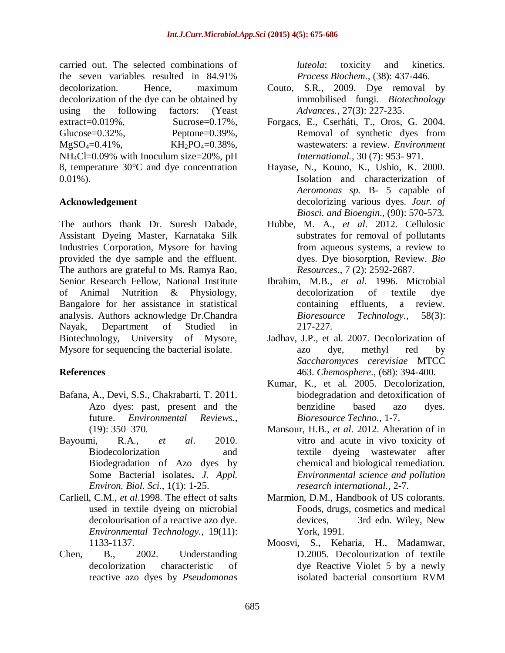carried out. The selected combinations of the seven variables resulted in 84.91% decolorization. Hence, maximum decolorization of the dye can be obtained by using the following factors: (Yeast extract=0.019%, Sucrose=0.17%,  $Glucose=0.32\%$ ,  $Peptone=0.39\%$ ,  $MgSO_4=0.41\%, \quad KH_2PO_4=0.38\%,$ NH4Cl=0.09% with Inoculum size=20%, pH 8, temperature 30°C and dye concentration  $0.01\%$ ).

# **Acknowledgement**

The authors thank Dr. Suresh Dabade, Assistant Dyeing Master, Karnataka Silk Industries Corporation, Mysore for having provided the dye sample and the effluent. The authors are grateful to Ms. Ramya Rao, Senior Research Fellow, National Institute of Animal Nutrition & Physiology, Bangalore for her assistance in statistical analysis. Authors acknowledge Dr.Chandra Nayak, Department of Studied in Biotechnology, University of Mysore, Mysore for sequencing the bacterial isolate.

# **References**

- Bafana, A., Devi, S.S., Chakrabarti, T. 2011. Azo dyes: past, present and the future. *Environmental Reviews.*, (19): 350–370.
- Bayoumi, R.A., *et al*. 2010. Biodecolorization and Biodegradation of Azo dyes by Some Bacterial isolates**.** *J. Appl. Environ. Biol. Sci.*, 1(1): 1-25.
- Carliell, C.M., *et al*.1998. The effect of salts used in textile dyeing on microbial decolourisation of a reactive azo dye. *Environmental Technology.*, 19(11): 1133-1137.
- Chen, B., 2002. Understanding decolorization characteristic of reactive azo dyes by *Pseudomonas*

*luteola*: toxicity and kinetics. *Process Biochem.*, (38): 437-446.

- Couto, S.R., 2009. Dye removal by immobilised fungi. *Biotechnology Advances.*, 27(3): 227-235.
- Forgacs, E., Cserháti, T., Oros, G. 2004. Removal of synthetic dyes from wastewaters: a review. *Environment International.*, 30 (7): 953- 971.
- Hayase, N., Kouno, K., Ushio, K. 2000. Isolation and characterization of *Aeromonas sp.* B- 5 capable of decolorizing various dyes. *Jour. of Biosci. and Bioengin*., (90): 570-573.
- Hubbe, M. A., *et al*. 2012. Cellulosic substrates for removal of pollutants from aqueous systems, a review to dyes. Dye biosorption, Review. *Bio Resources*., 7 (2): 2592-2687.
- Ibrahim, M.B., *et al*. 1996. Microbial decolorization of textile dye containing effluents, a review. *Bioresource Technology.*, 58(3): 217-227.
- Jadhav, J.P., et al. 2007. Decolorization of azo dye, methyl red by *Saccharomyces cerevisiae* MTCC 463. *Chemosphere*., (68): 394-400.
- Kumar, K., et al. 2005. Decolorization, biodegradation and detoxification of benzidine based azo dyes. *Bioresource Techno.,* 1-7.
- Mansour, H.B., *et al*. 2012. Alteration of in vitro and acute in vivo toxicity of textile dyeing wastewater after chemical and biological remediation. *Environmental science and pollution research international.,* 2-7.
- Marmion, D.M., Handbook of US colorants. Foods, drugs, cosmetics and medical devices, 3rd edn. Wiley, New York, 1991.
- Moosvi, S., Keharia, H., Madamwar, D.2005. Decolourization of textile dye Reactive Violet 5 by a newly isolated bacterial consortium RVM